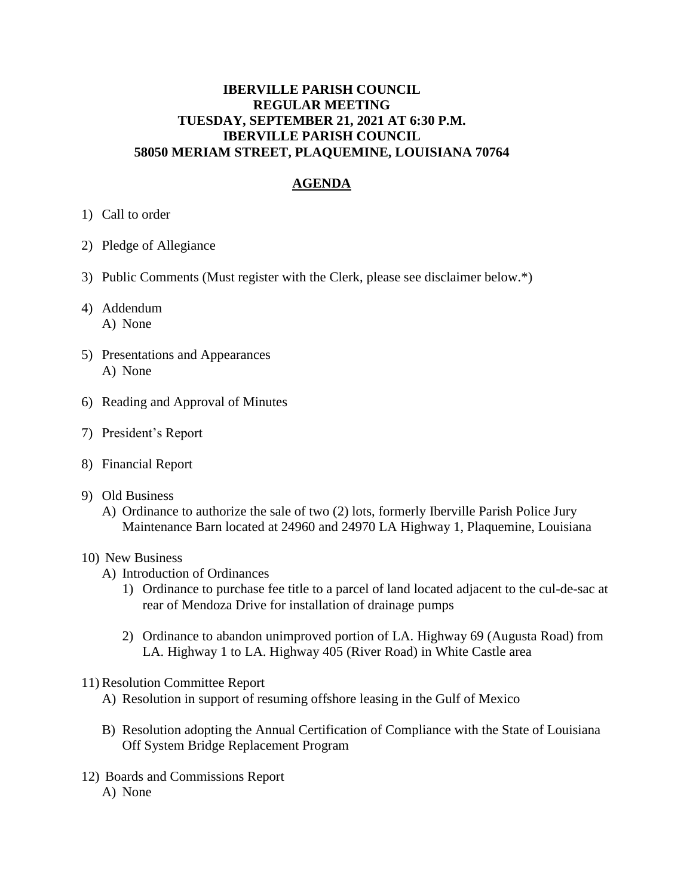## **IBERVILLE PARISH COUNCIL REGULAR MEETING TUESDAY, SEPTEMBER 21, 2021 AT 6:30 P.M. IBERVILLE PARISH COUNCIL 58050 MERIAM STREET, PLAQUEMINE, LOUISIANA 70764**

# **AGENDA**

- 1) Call to order
- 2) Pledge of Allegiance
- 3) Public Comments (Must register with the Clerk, please see disclaimer below.\*)
- 4) Addendum A) None
- 5) Presentations and Appearances A) None
- 6) Reading and Approval of Minutes
- 7) President's Report
- 8) Financial Report
- 9) Old Business
	- A) Ordinance to authorize the sale of two (2) lots, formerly Iberville Parish Police Jury Maintenance Barn located at 24960 and 24970 LA Highway 1, Plaquemine, Louisiana

#### 10) New Business

- A) Introduction of Ordinances
	- 1) Ordinance to purchase fee title to a parcel of land located adjacent to the cul-de-sac at rear of Mendoza Drive for installation of drainage pumps
	- 2) Ordinance to abandon unimproved portion of LA. Highway 69 (Augusta Road) from LA. Highway 1 to LA. Highway 405 (River Road) in White Castle area
- 11) Resolution Committee Report
	- A) Resolution in support of resuming offshore leasing in the Gulf of Mexico
	- B) Resolution adopting the Annual Certification of Compliance with the State of Louisiana Off System Bridge Replacement Program
- 12) Boards and Commissions Report A) None